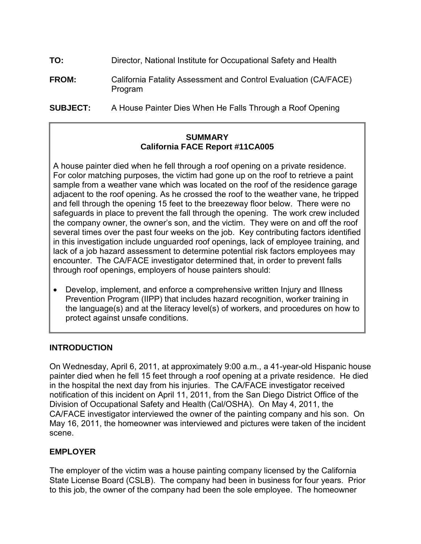| TO:          | Director, National Institute for Occupational Safety and Health            |
|--------------|----------------------------------------------------------------------------|
| <b>FROM:</b> | California Fatality Assessment and Control Evaluation (CA/FACE)<br>Program |

**SUBJECT:** A House Painter Dies When He Falls Through a Roof Opening

# **SUMMARY California FACE Report #11CA005**

A house painter died when he fell through a roof opening on a private residence. For color matching purposes, the victim had gone up on the roof to retrieve a paint sample from a weather vane which was located on the roof of the residence garage adjacent to the roof opening. As he crossed the roof to the weather vane, he tripped and fell through the opening 15 feet to the breezeway floor below. There were no safeguards in place to prevent the fall through the opening. The work crew included the company owner, the owner's son, and the victim. They were on and off the roof several times over the past four weeks on the job. Key contributing factors identified in this investigation include unguarded roof openings, lack of employee training, and lack of a job hazard assessment to determine potential risk factors employees may encounter. The CA/FACE investigator determined that, in order to prevent falls through roof openings, employers of house painters should:

• Develop, implement, and enforce a comprehensive written Injury and Illness Prevention Program (IIPP) that includes hazard recognition, worker training in the language(s) and at the literacy level(s) of workers, and procedures on how to protect against unsafe conditions.

## **INTRODUCTION**

On Wednesday, April 6, 2011, at approximately 9:00 a.m., a 41-year-old Hispanic house painter died when he fell 15 feet through a roof opening at a private residence. He died in the hospital the next day from his injuries. The CA/FACE investigator received notification of this incident on April 11, 2011, from the San Diego District Office of the Division of Occupational Safety and Health (Cal/OSHA). On May 4, 2011, the CA/FACE investigator interviewed the owner of the painting company and his son. On May 16, 2011, the homeowner was interviewed and pictures were taken of the incident scene.

## **EMPLOYER**

The employer of the victim was a house painting company licensed by the California State License Board (CSLB). The company had been in business for four years. Prior to this job, the owner of the company had been the sole employee. The homeowner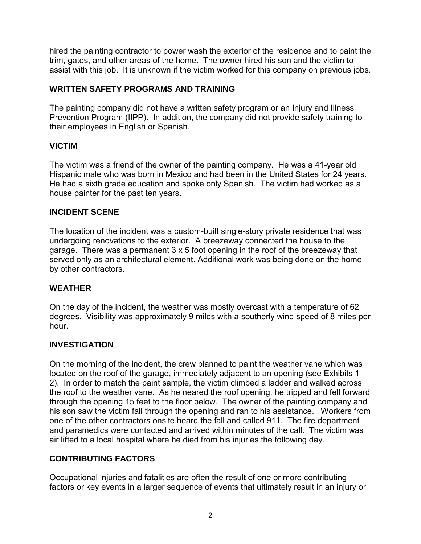hired the painting contractor to power wash the exterior of the residence and to paint the trim, gates, and other areas of the home. The owner hired his son and the victim to assist with this job. It is unknown if the victim worked for this company on previous jobs.

#### **WRITTEN SAFETY PROGRAMS AND TRAINING**

The painting company did not have a written safety program or an Injury and Illness Prevention Program (IIPP). In addition, the company did not provide safety training to their employees in English or Spanish.

#### **VICTIM**

The victim was a friend of the owner of the painting company. He was a 41-year old Hispanic male who was born in Mexico and had been in the United States for 24 years. He had a sixth grade education and spoke only Spanish. The victim had worked as a house painter for the past ten years.

# **INCIDENT SCENE**

The location of the incident was a custom-built single-story private residence that was undergoing renovations to the exterior. A breezeway connected the house to the garage. There was a permanent 3 x 5 foot opening in the roof of the breezeway that served only as an architectural element. Additional work was being done on the home by other contractors.

#### **WEATHER**

On the day of the incident, the weather was mostly overcast with a temperature of 62 degrees. Visibility was approximately 9 miles with a southerly wind speed of 8 miles per hour.

#### **INVESTIGATION**

On the morning of the incident, the crew planned to paint the weather vane which was located on the roof of the garage, immediately adjacent to an opening (see Exhibits 1 2). In order to match the paint sample, the victim climbed a ladder and walked across the roof to the weather vane. As he neared the roof opening, he tripped and fell forward through the opening 15 feet to the floor below. The owner of the painting company and his son saw the victim fall through the opening and ran to his assistance. Workers from one of the other contractors onsite heard the fall and called 911. The fire department and paramedics were contacted and arrived within minutes of the call. The victim was air lifted to a local hospital where he died from his injuries the following day.

## **CONTRIBUTING FACTORS**

Occupational injuries and fatalities are often the result of one or more contributing factors or key events in a larger sequence of events that ultimately result in an injury or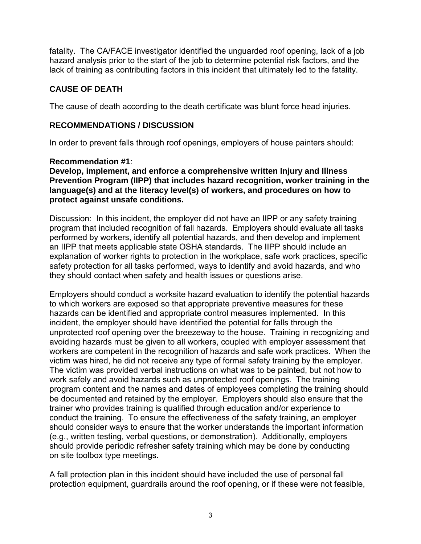fatality. The CA/FACE investigator identified the unguarded roof opening, lack of a job hazard analysis prior to the start of the job to determine potential risk factors, and the lack of training as contributing factors in this incident that ultimately led to the fatality.

# **CAUSE OF DEATH**

The cause of death according to the death certificate was blunt force head injuries.

## **RECOMMENDATIONS / DISCUSSION**

In order to prevent falls through roof openings, employers of house painters should:

#### **Recommendation #1**:

**Develop, implement, and enforce a comprehensive written Injury and Illness Prevention Program (IIPP) that includes hazard recognition, worker training in the language(s) and at the literacy level(s) of workers, and procedures on how to protect against unsafe conditions.** 

Discussion: In this incident, the employer did not have an IIPP or any safety training program that included recognition of fall hazards. Employers should evaluate all tasks performed by workers, identify all potential hazards, and then develop and implement an IIPP that meets applicable state OSHA standards. The IIPP should include an explanation of worker rights to protection in the workplace, safe work practices, specific safety protection for all tasks performed, ways to identify and avoid hazards, and who they should contact when safety and health issues or questions arise.

Employers should conduct a worksite hazard evaluation to identify the potential hazards to which workers are exposed so that appropriate preventive measures for these hazards can be identified and appropriate control measures implemented. In this incident, the employer should have identified the potential for falls through the unprotected roof opening over the breezeway to the house. Training in recognizing and avoiding hazards must be given to all workers, coupled with employer assessment that workers are competent in the recognition of hazards and safe work practices. When the victim was hired, he did not receive any type of formal safety training by the employer. The victim was provided verbal instructions on what was to be painted, but not how to work safely and avoid hazards such as unprotected roof openings. The training program content and the names and dates of employees completing the training should be documented and retained by the employer. Employers should also ensure that the trainer who provides training is qualified through education and/or experience to conduct the training. To ensure the effectiveness of the safety training, an employer should consider ways to ensure that the worker understands the important information (e.g., written testing, verbal questions, or demonstration). Additionally, employers should provide periodic refresher safety training which may be done by conducting on site toolbox type meetings.

A fall protection plan in this incident should have included the use of personal fall protection equipment, guardrails around the roof opening, or if these were not feasible,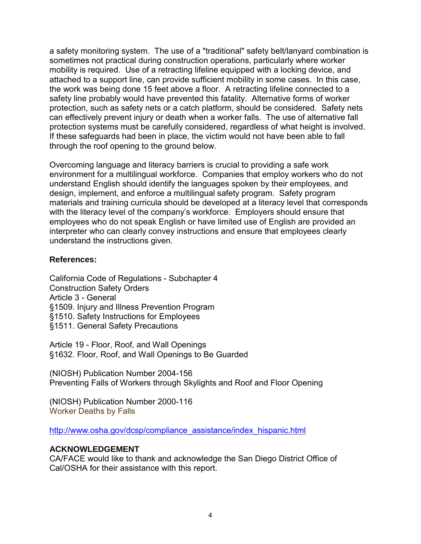a safety monitoring system. The use of a "traditional" safety belt/lanyard combination is sometimes not practical during construction operations, particularly where worker mobility is required. Use of a retracting lifeline equipped with a locking device, and attached to a support line, can provide sufficient mobility in some cases. In this case, the work was being done 15 feet above a floor. A retracting lifeline connected to a safety line probably would have prevented this fatality. Alternative forms of worker protection, such as safety nets or a catch platform, should be considered. Safety nets can effectively prevent injury or death when a worker falls. The use of alternative fall protection systems must be carefully considered, regardless of what height is involved. If these safeguards had been in place, the victim would not have been able to fall through the roof opening to the ground below.

Overcoming language and literacy barriers is crucial to providing a safe work environment for a multilingual workforce. Companies that employ workers who do not understand English should identify the languages spoken by their employees, and design, implement, and enforce a multilingual safety program. Safety program materials and training curricula should be developed at a literacy level that corresponds with the literacy level of the company's workforce. Employers should ensure that employees who do not speak English or have limited use of English are provided an interpreter who can clearly convey instructions and ensure that employees clearly understand the instructions given.

#### **References:**

California Code of Regulations - Subchapter 4 Construction Safety Orders Article 3 - General [§1509. Injury and Illness Prevention Program](http://www.dir.ca.gov/Title8/1509.html) [§1510. Safety Instructions for Employees](http://www.dir.ca.gov/Title8/1510.html) [§1511. General Safety Precautions](http://www.dir.ca.gov/Title8/1511.html)

Article 19 - Floor, Roof, and Wall Openings [§1632. Floor, Roof, and Wall Openings to Be Guarded](http://www.dir.ca.gov/Title8/1632.html)

(NIOSH) Publication Number 2004-156 Preventing Falls of Workers through Skylights and Roof and Floor Opening

(NIOSH) Publication Number 2000-116 Worker Deaths by Falls

[http://www.osha.gov/dcsp/compliance\\_assistance/index\\_hispanic.html](http://www.osha.gov/dcsp/compliance_assistance/index_hispanic.html)

#### **ACKNOWLEDGEMENT**

CA/FACE would like to thank and acknowledge the San Diego District Office of Cal/OSHA for their assistance with this report.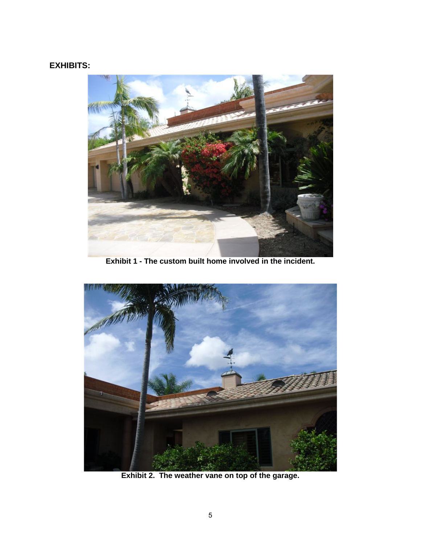# **EXHIBITS:**



 **Exhibit 1 - The custom built home involved in the incident.** 



 **Exhibit 2. The weather vane on top of the garage.**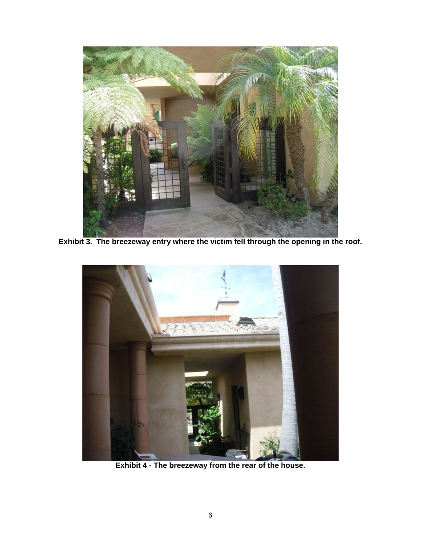

 **Exhibit 3. The breezeway entry where the victim fell through the opening in the roof.** 



 **Exhibit 4 - The breezeway from the rear of the house.**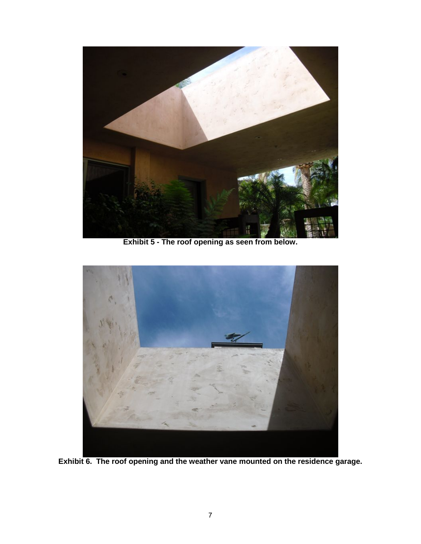

**Exhibit 5 - The roof opening as seen from below.** 



**Exhibit 6. The roof opening and the weather vane mounted on the residence garage.**